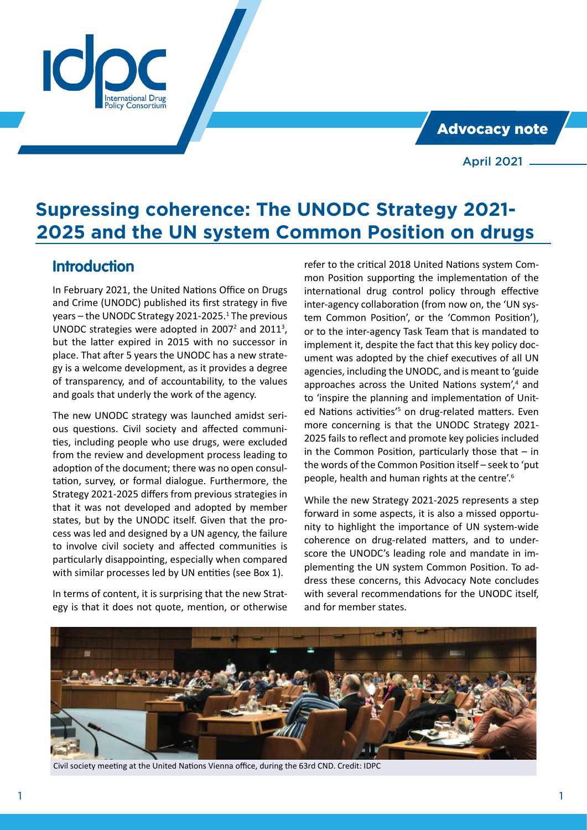Advocacy note

April 2021

# **Supressing coherence: The UNODC Strategy 2021- 2025 and the UN system Common Position on drugs**

## **Introduction**

In February 2021, the United Nations Office on Drugs and Crime (UNODC) published its first strategy in five years – the UNODC Strategy 2021-2025.<sup>1</sup> The previous UNODC strategies were adopted in 2007 $2$  and 2011<sup>3</sup>, but the latter expired in 2015 with no successor in place. That after 5 years the UNODC has a new strategy is a welcome development, as it provides a degree of transparency, and of accountability, to the values and goals that underly the work of the agency.

 $Consortium$ 

The new UNODC strategy was launched amidst serious questions. Civil society and affected communities, including people who use drugs, were excluded from the review and development process leading to adoption of the document; there was no open consultation, survey, or formal dialogue. Furthermore, the Strategy 2021-2025 differs from previous strategies in that it was not developed and adopted by member states, but by the UNODC itself. Given that the process was led and designed by a UN agency, the failure to involve civil society and affected communities is particularly disappointing, especially when compared with similar processes led by UN entities (see Box 1).

In terms of content, it is surprising that the new Strategy is that it does not quote, mention, or otherwise

refer to the critical 2018 United Nations system Common Position supporting the implementation of the international drug control policy through effective inter-agency collaboration (from now on, the 'UN system Common Position', or the 'Common Position'), or to the inter-agency Task Team that is mandated to implement it, despite the fact that this key policy document was adopted by the chief executives of all UN agencies, including the UNODC, and is meant to 'guide approaches across the United Nations system',<sup>4</sup> and to 'inspire the planning and implementation of United Nations activities<sup>'5</sup> on drug-related matters. Even more concerning is that the UNODC Strategy 2021- 2025 fails to reflect and promote key policies included in the Common Position, particularly those that  $-$  in the words of the Common Position itself – seek to 'put people, health and human rights at the centre'.<sup>6</sup>

While the new Strategy 2021-2025 represents a step forward in some aspects, it is also a missed opportunity to highlight the importance of UN system-wide coherence on drug-related matters, and to underscore the UNODC's leading role and mandate in implementing the UN system Common Position. To address these concerns, this Advocacy Note concludes with several recommendations for the UNODC itself, and for member states.



Civil society meeting at the United Nations Vienna office, during the 63rd CND. Credit: IDPC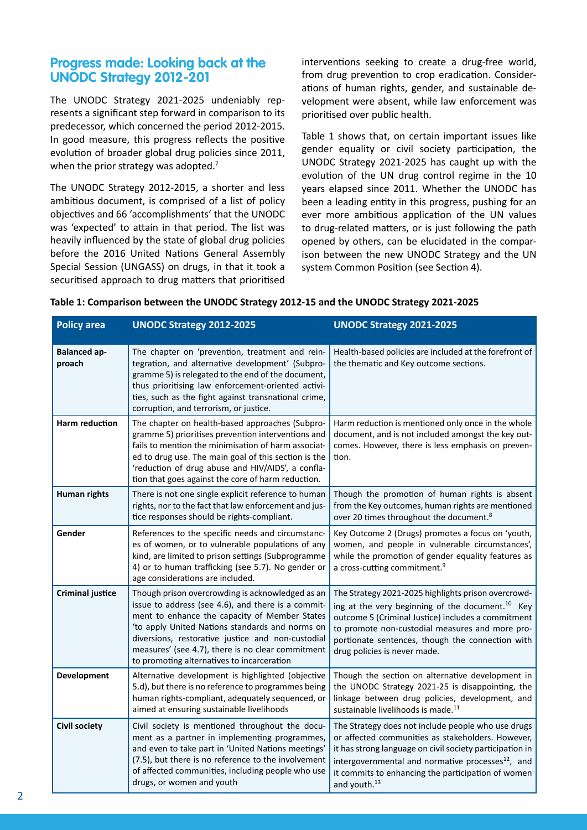### **Progress made: Looking back at the UNODC Strategy 2012-201**

The UNODC Strategy 2021-2025 undeniably represents a significant step forward in comparison to its predecessor, which concerned the period 2012-2015. In good measure, this progress reflects the positive evolution of broader global drug policies since 2011, when the prior strategy was adopted.<sup>7</sup>

The UNODC Strategy 2012-2015, a shorter and less ambitious document, is comprised of a list of policy objectives and 66 'accomplishments' that the UNODC was 'expected' to attain in that period. The list was heavily influenced by the state of global drug policies before the 2016 United Nations General Assembly Special Session (UNGASS) on drugs, in that it took a securitised approach to drug matters that prioritised interventions seeking to create a drug-free world, from drug prevention to crop eradication. Considerations of human rights, gender, and sustainable development were absent, while law enforcement was prioritised over public health.

Table 1 shows that, on certain important issues like gender equality or civil society participation, the UNODC Strategy 2021-2025 has caught up with the evolution of the UN drug control regime in the 10 years elapsed since 2011. Whether the UNODC has been a leading entity in this progress, pushing for an ever more ambitious application of the UN values to drug-related matters, or is just following the path opened by others, can be elucidated in the comparison between the new UNODC Strategy and the UN system Common Position (see Section 4).

| <b>Policy area</b>            | <b>UNODC Strategy 2012-2025</b>                                                                                                                                                                                                                                                                                                                                    | <b>UNODC Strategy 2021-2025</b>                                                                                                                                                                                                                                                                                        |
|-------------------------------|--------------------------------------------------------------------------------------------------------------------------------------------------------------------------------------------------------------------------------------------------------------------------------------------------------------------------------------------------------------------|------------------------------------------------------------------------------------------------------------------------------------------------------------------------------------------------------------------------------------------------------------------------------------------------------------------------|
| <b>Balanced ap-</b><br>proach | The chapter on 'prevention, treatment and rein-<br>tegration, and alternative development' (Subpro-<br>gramme 5) is relegated to the end of the document,<br>thus prioritising law enforcement-oriented activi-<br>ties, such as the fight against transnational crime,<br>corruption, and terrorism, or justice.                                                  | Health-based policies are included at the forefront of<br>the thematic and Key outcome sections.                                                                                                                                                                                                                       |
| <b>Harm reduction</b>         | The chapter on health-based approaches (Subpro-<br>gramme 5) prioritises prevention interventions and<br>fails to mention the minimisation of harm associat-<br>ed to drug use. The main goal of this section is the<br>'reduction of drug abuse and HIV/AIDS', a confla-<br>tion that goes against the core of harm reduction.                                    | Harm reduction is mentioned only once in the whole<br>document, and is not included amongst the key out-<br>comes. However, there is less emphasis on preven-<br>tion.                                                                                                                                                 |
| <b>Human rights</b>           | There is not one single explicit reference to human<br>rights, nor to the fact that law enforcement and jus-<br>tice responses should be rights-compliant.                                                                                                                                                                                                         | Though the promotion of human rights is absent<br>from the Key outcomes, human rights are mentioned<br>over 20 times throughout the document. <sup>8</sup>                                                                                                                                                             |
| Gender                        | References to the specific needs and circumstanc-<br>es of women, or to vulnerable populations of any<br>kind, are limited to prison settings (Subprogramme<br>4) or to human trafficking (see 5.7). No gender or<br>age considerations are included.                                                                                                              | Key Outcome 2 (Drugs) promotes a focus on 'youth,<br>women, and people in vulnerable circumstances',<br>while the promotion of gender equality features as<br>a cross-cutting commitment. <sup>9</sup>                                                                                                                 |
| <b>Criminal justice</b>       | Though prison overcrowding is acknowledged as an<br>issue to address (see 4.6), and there is a commit-<br>ment to enhance the capacity of Member States<br>'to apply United Nations standards and norms on<br>diversions, restorative justice and non-custodial<br>measures' (see 4.7), there is no clear commitment<br>to promoting alternatives to incarceration | The Strategy 2021-2025 highlights prison overcrowd-<br>ing at the very beginning of the document. <sup>10</sup> Key<br>outcome 5 (Criminal Justice) includes a commitment<br>to promote non-custodial measures and more pro-<br>portionate sentences, though the connection with<br>drug policies is never made.       |
| Development                   | Alternative development is highlighted (objective<br>5.d), but there is no reference to programmes being<br>human rights-compliant, adequately sequenced, or<br>aimed at ensuring sustainable livelihoods                                                                                                                                                          | Though the section on alternative development in<br>the UNODC Strategy 2021-25 is disappointing, the<br>linkage between drug policies, development, and<br>sustainable livelihoods is made. <sup>11</sup>                                                                                                              |
| <b>Civil society</b>          | Civil society is mentioned throughout the docu-<br>ment as a partner in implementing programmes,<br>and even to take part in 'United Nations meetings'<br>(7.5), but there is no reference to the involvement<br>of affected communities, including people who use<br>drugs, or women and youth                                                                    | The Strategy does not include people who use drugs<br>or affected communities as stakeholders. However,<br>it has strong language on civil society participation in<br>intergovernmental and normative processes <sup>12</sup> , and<br>it commits to enhancing the participation of women<br>and youth. <sup>13</sup> |

#### **Table 1: Comparison between the UNODC Strategy 2012-15 and the UNODC Strategy 2021-2025**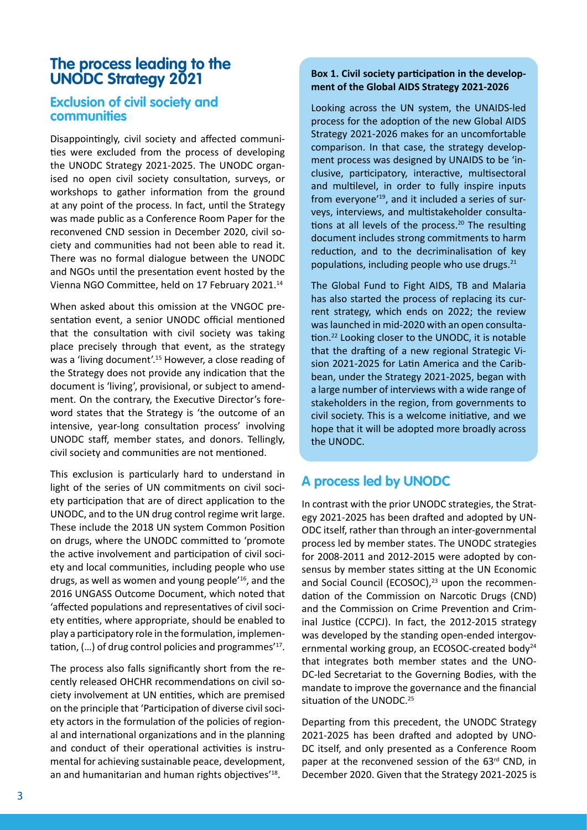## **The process leading to the UNODC Strategy 2021**

#### **Exclusion of civil society and communities**

Disappointingly, civil society and affected communities were excluded from the process of developing the UNODC Strategy 2021-2025. The UNODC organised no open civil society consultation, surveys, or workshops to gather information from the ground at any point of the process. In fact, until the Strategy was made public as a Conference Room Paper for the reconvened CND session in December 2020, civil society and communities had not been able to read it. There was no formal dialogue between the UNODC and NGOs until the presentation event hosted by the Vienna NGO Committee, held on 17 February 2021.<sup>14</sup>

When asked about this omission at the VNGOC presentation event, a senior UNODC official mentioned that the consultation with civil society was taking place precisely through that event, as the strategy was a 'living document'.<sup>15</sup> However, a close reading of the Strategy does not provide any indication that the document is 'living', provisional, or subject to amendment. On the contrary, the Executive Director's foreword states that the Strategy is 'the outcome of an intensive, year-long consultation process' involving UNODC staff, member states, and donors. Tellingly, civil society and communities are not mentioned.

This exclusion is particularly hard to understand in light of the series of UN commitments on civil society participation that are of direct application to the UNODC, and to the UN drug control regime writ large. These include the 2018 UN system Common Position on drugs, where the UNODC committed to 'promote the active involvement and participation of civil society and local communities, including people who use drugs, as well as women and young people'16, and the 2016 UNGASS Outcome Document, which noted that 'affected populations and representatives of civil society entities, where appropriate, should be enabled to play a participatory role in the formulation, implementation, (...) of drug control policies and programmes<sup>'17</sup>.

The process also falls significantly short from the recently released OHCHR recommendations on civil society involvement at UN entities, which are premised on the principle that 'Participation of diverse civil society actors in the formulation of the policies of regional and international organizations and in the planning and conduct of their operational activities is instrumental for achieving sustainable peace, development, an and humanitarian and human rights objectives<sup>118</sup>.

#### **Box 1. Civil society participation in the development of the Global AIDS Strategy 2021-2026**

Looking across the UN system, the UNAIDS-led process for the adoption of the new Global AIDS Strategy 2021-2026 makes for an uncomfortable comparison. In that case, the strategy development process was designed by UNAIDS to be 'inclusive, participatory, interactive, multisectoral and multilevel, in order to fully inspire inputs from everyone'19, and it included a series of surveys, interviews, and multistakeholder consultations at all levels of the process.<sup>20</sup> The resulting document includes strong commitments to harm reduction, and to the decriminalisation of key populations, including people who use drugs. $21$ 

The Global Fund to Fight AIDS, TB and Malaria has also started the process of replacing its current strategy, which ends on 2022; the review was launched in mid-2020 with an open consultation.<sup>22</sup> Looking closer to the UNODC, it is notable that the drafting of a new regional Strategic Vision 2021-2025 for Latin America and the Caribbean, under the Strategy 2021-2025, began with a large number of interviews with a wide range of stakeholders in the region, from governments to civil society. This is a welcome initiative, and we hope that it will be adopted more broadly across the UNODC.

### **A process led by UNODC**

In contrast with the prior UNODC strategies, the Strategy 2021-2025 has been drafted and adopted by UN-ODC itself, rather than through an inter-governmental process led by member states. The UNODC strategies for 2008-2011 and 2012-2015 were adopted by consensus by member states sitting at the UN Economic and Social Council (ECOSOC),<sup>23</sup> upon the recommendation of the Commission on Narcotic Drugs (CND) and the Commission on Crime Prevention and Criminal Justice (CCPCJ). In fact, the 2012-2015 strategy was developed by the standing open-ended intergovernmental working group, an ECOSOC-created body<sup>24</sup> that integrates both member states and the UNO-DC-led Secretariat to the Governing Bodies, with the mandate to improve the governance and the financial situation of the UNODC.<sup>25</sup>

Departing from this precedent, the UNODC Strategy 2021-2025 has been drafted and adopted by UNO-DC itself, and only presented as a Conference Room paper at the reconvened session of the 63<sup>rd</sup> CND, in December 2020. Given that the Strategy 2021-2025 is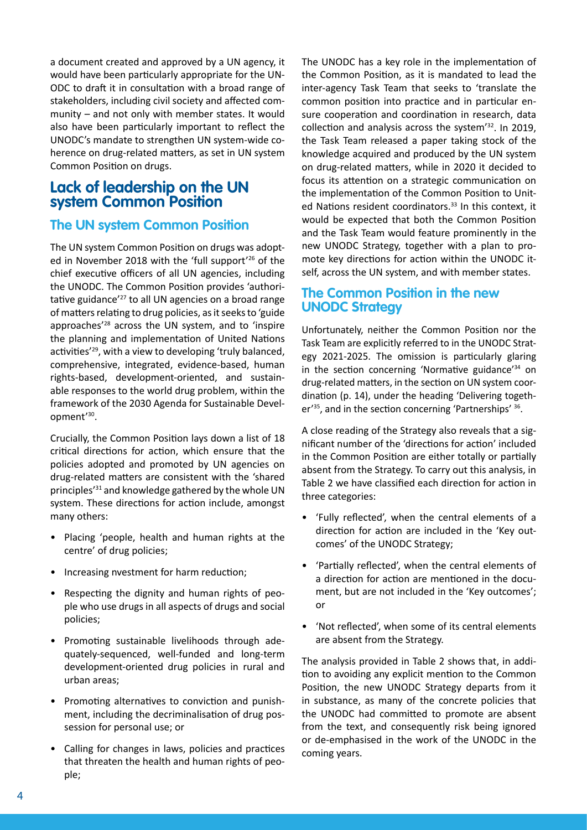a document created and approved by a UN agency, it would have been particularly appropriate for the UN-ODC to draft it in consultation with a broad range of stakeholders, including civil society and affected community – and not only with member states. It would also have been particularly important to reflect the UNODC's mandate to strengthen UN system-wide coherence on drug-related matters, as set in UN system Common Position on drugs.

## **Lack of leadership on the UN system Common Position**

### **The UN system Common Position**

The UN system Common Position on drugs was adopted in November 2018 with the 'full support'<sup>26</sup> of the chief executive officers of all UN agencies, including the UNODC. The Common Position provides 'authoritative guidance'27 to all UN agencies on a broad range of matters relating to drug policies, as it seeks to 'guide approaches'28 across the UN system, and to 'inspire the planning and implementation of United Nations activities'<sup>29</sup>, with a view to developing 'truly balanced, comprehensive, integrated, evidence-based, human rights-based, development-oriented, and sustainable responses to the world drug problem, within the framework of the 2030 Agenda for Sustainable Development'<sup>30</sup>.

Crucially, the Common Position lays down a list of 18 critical directions for action, which ensure that the policies adopted and promoted by UN agencies on drug-related matters are consistent with the 'shared principles'<sup>31</sup> and knowledge gathered by the whole UN system. These directions for action include, amongst many others:

- Placing 'people, health and human rights at the centre' of drug policies;
- Increasing nvestment for harm reduction;
- Respecting the dignity and human rights of people who use drugs in all aspects of drugs and social policies;
- Promoting sustainable livelihoods through adequately-sequenced, well-funded and long-term development-oriented drug policies in rural and urban areas;
- Promoting alternatives to conviction and punishment, including the decriminalisation of drug possession for personal use; or
- Calling for changes in laws, policies and practices that threaten the health and human rights of people;

The UNODC has a key role in the implementation of the Common Position, as it is mandated to lead the inter-agency Task Team that seeks to 'translate the common position into practice and in particular ensure cooperation and coordination in research, data collection and analysis across the system'<sup>32</sup>. In 2019, the Task Team released a paper taking stock of the knowledge acquired and produced by the UN system on drug-related matters, while in 2020 it decided to focus its attention on a strategic communication on the implementation of the Common Position to United Nations resident coordinators.<sup>33</sup> In this context, it would be expected that both the Common Position and the Task Team would feature prominently in the new UNODC Strategy, together with a plan to promote key directions for action within the UNODC itself, across the UN system, and with member states.

### **The Common Position in the new UNODC Strategy**

Unfortunately, neither the Common Position nor the Task Team are explicitly referred to in the UNODC Strategy 2021-2025. The omission is particularly glaring in the section concerning 'Normative guidance'<sup>34</sup> on drug-related matters, in the section on UN system coordination (p. 14), under the heading 'Delivering together<sup>'35</sup>, and in the section concerning 'Partnerships' <sup>36</sup>.

A close reading of the Strategy also reveals that a significant number of the 'directions for action' included in the Common Position are either totally or partially absent from the Strategy. To carry out this analysis, in Table 2 we have classified each direction for action in three categories:

- 'Fully reflected', when the central elements of a direction for action are included in the 'Key outcomes' of the UNODC Strategy;
- 'Partially reflected', when the central elements of a direction for action are mentioned in the document, but are not included in the 'Key outcomes'; or
- 'Not reflected', when some of its central elements are absent from the Strategy.

The analysis provided in Table 2 shows that, in addition to avoiding any explicit mention to the Common Position, the new UNODC Strategy departs from it in substance, as many of the concrete policies that the UNODC had committed to promote are absent from the text, and consequently risk being ignored or de-emphasised in the work of the UNODC in the coming years.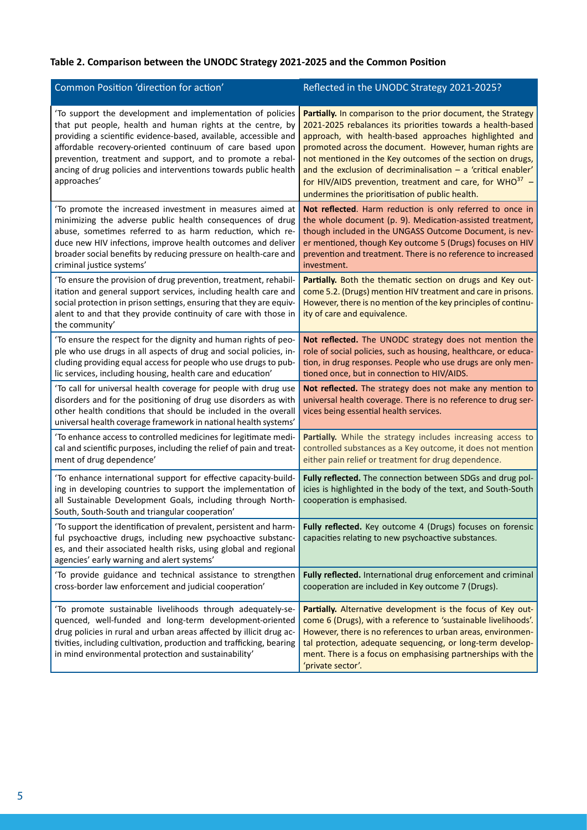### **Table 2. Comparison between the UNODC Strategy 2021-2025 and the Common Position**

| Common Position 'direction for action'                                                                                                                                                                                                                                                                                                                                                                    | Reflected in the UNODC Strategy 2021-2025?                                                                                                                                                                                                                                                                                                                                                                                                                                                         |
|-----------------------------------------------------------------------------------------------------------------------------------------------------------------------------------------------------------------------------------------------------------------------------------------------------------------------------------------------------------------------------------------------------------|----------------------------------------------------------------------------------------------------------------------------------------------------------------------------------------------------------------------------------------------------------------------------------------------------------------------------------------------------------------------------------------------------------------------------------------------------------------------------------------------------|
| 'To support the development and implementation of policies<br>that put people, health and human rights at the centre, by<br>providing a scientific evidence-based, available, accessible and<br>affordable recovery-oriented continuum of care based upon<br>prevention, treatment and support, and to promote a rebal-<br>ancing of drug policies and interventions towards public health<br>approaches' | Partially. In comparison to the prior document, the Strategy<br>2021-2025 rebalances its priorities towards a health-based<br>approach, with health-based approaches highlighted and<br>promoted across the document. However, human rights are<br>not mentioned in the Key outcomes of the section on drugs,<br>and the exclusion of decriminalisation $-$ a 'critical enabler'<br>for HIV/AIDS prevention, treatment and care, for WHO $37$ –<br>undermines the prioritisation of public health. |
| 'To promote the increased investment in measures aimed at<br>minimizing the adverse public health consequences of drug<br>abuse, sometimes referred to as harm reduction, which re-<br>duce new HIV infections, improve health outcomes and deliver<br>broader social benefits by reducing pressure on health-care and<br>criminal justice systems'                                                       | Not reflected. Harm reduction is only referred to once in<br>the whole document (p. 9). Medication-assisted treatment,<br>though included in the UNGASS Outcome Document, is nev-<br>er mentioned, though Key outcome 5 (Drugs) focuses on HIV<br>prevention and treatment. There is no reference to increased<br>investment.                                                                                                                                                                      |
| 'To ensure the provision of drug prevention, treatment, rehabil-<br>itation and general support services, including health care and<br>social protection in prison settings, ensuring that they are equiv-<br>alent to and that they provide continuity of care with those in<br>the community'                                                                                                           | Partially. Both the thematic section on drugs and Key out-<br>come 5.2. (Drugs) mention HIV treatment and care in prisons.<br>However, there is no mention of the key principles of continu-<br>ity of care and equivalence.                                                                                                                                                                                                                                                                       |
| 'To ensure the respect for the dignity and human rights of peo-<br>ple who use drugs in all aspects of drug and social policies, in-<br>cluding providing equal access for people who use drugs to pub-<br>lic services, including housing, health care and education'                                                                                                                                    | Not reflected. The UNODC strategy does not mention the<br>role of social policies, such as housing, healthcare, or educa-<br>tion, in drug responses. People who use drugs are only men-<br>tioned once, but in connection to HIV/AIDS.                                                                                                                                                                                                                                                            |
| 'To call for universal health coverage for people with drug use<br>disorders and for the positioning of drug use disorders as with<br>other health conditions that should be included in the overall<br>universal health coverage framework in national health systems'                                                                                                                                   | Not reflected. The strategy does not make any mention to<br>universal health coverage. There is no reference to drug ser-<br>vices being essential health services.                                                                                                                                                                                                                                                                                                                                |
| 'To enhance access to controlled medicines for legitimate medi-<br>cal and scientific purposes, including the relief of pain and treat-<br>ment of drug dependence'                                                                                                                                                                                                                                       | Partially. While the strategy includes increasing access to<br>controlled substances as a Key outcome, it does not mention<br>either pain relief or treatment for drug dependence.                                                                                                                                                                                                                                                                                                                 |
| 'To enhance international support for effective capacity-build-<br>ing in developing countries to support the implementation of<br>all Sustainable Development Goals, including through North-<br>South, South-South and triangular cooperation'                                                                                                                                                          | Fully reflected. The connection between SDGs and drug pol-<br>icies is highlighted in the body of the text, and South-South<br>cooperation is emphasised.                                                                                                                                                                                                                                                                                                                                          |
| 'To support the identification of prevalent, persistent and harm-<br>ful psychoactive drugs, including new psychoactive substanc-<br>es, and their associated health risks, using global and regional<br>agencies' early warning and alert systems'                                                                                                                                                       | Fully reflected. Key outcome 4 (Drugs) focuses on forensic<br>capacities relating to new psychoactive substances.                                                                                                                                                                                                                                                                                                                                                                                  |
| 'To provide guidance and technical assistance to strengthen<br>cross-border law enforcement and judicial cooperation'                                                                                                                                                                                                                                                                                     | Fully reflected. International drug enforcement and criminal<br>cooperation are included in Key outcome 7 (Drugs).                                                                                                                                                                                                                                                                                                                                                                                 |
| 'To promote sustainable livelihoods through adequately-se-<br>quenced, well-funded and long-term development-oriented<br>drug policies in rural and urban areas affected by illicit drug ac-<br>tivities, including cultivation, production and trafficking, bearing<br>in mind environmental protection and sustainability'                                                                              | Partially. Alternative development is the focus of Key out-<br>come 6 (Drugs), with a reference to 'sustainable livelihoods'.<br>However, there is no references to urban areas, environmen-<br>tal protection, adequate sequencing, or long-term develop-<br>ment. There is a focus on emphasising partnerships with the<br>'private sector'.                                                                                                                                                     |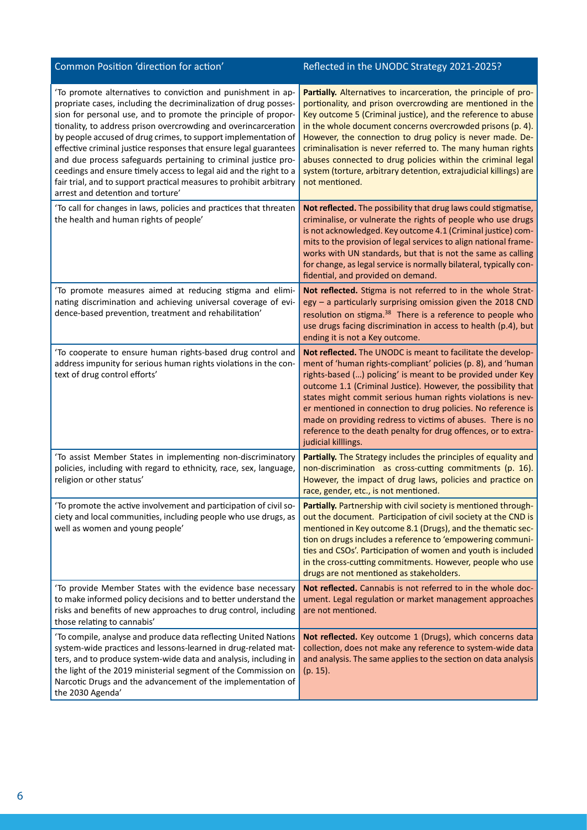| Common Position 'direction for action'                                                                                                                                                                                                                                                                                                                                                                                                                                                                                                                                                                                                                          | Reflected in the UNODC Strategy 2021-2025?                                                                                                                                                                                                                                                                                                                                                                                                                                                                                                          |
|-----------------------------------------------------------------------------------------------------------------------------------------------------------------------------------------------------------------------------------------------------------------------------------------------------------------------------------------------------------------------------------------------------------------------------------------------------------------------------------------------------------------------------------------------------------------------------------------------------------------------------------------------------------------|-----------------------------------------------------------------------------------------------------------------------------------------------------------------------------------------------------------------------------------------------------------------------------------------------------------------------------------------------------------------------------------------------------------------------------------------------------------------------------------------------------------------------------------------------------|
| 'To promote alternatives to conviction and punishment in ap-<br>propriate cases, including the decriminalization of drug posses-<br>sion for personal use, and to promote the principle of propor-<br>tionality, to address prison overcrowding and overincarceration<br>by people accused of drug crimes, to support implementation of<br>effective criminal justice responses that ensure legal guarantees<br>and due process safeguards pertaining to criminal justice pro-<br>ceedings and ensure timely access to legal aid and the right to a<br>fair trial, and to support practical measures to prohibit arbitrary<br>arrest and detention and torture' | Partially. Alternatives to incarceration, the principle of pro-<br>portionality, and prison overcrowding are mentioned in the<br>Key outcome 5 (Criminal justice), and the reference to abuse<br>in the whole document concerns overcrowded prisons (p. 4).<br>However, the connection to drug policy is never made. De-<br>criminalisation is never referred to. The many human rights<br>abuses connected to drug policies within the criminal legal<br>system (torture, arbitrary detention, extrajudicial killings) are<br>not mentioned.       |
| 'To call for changes in laws, policies and practices that threaten<br>the health and human rights of people'                                                                                                                                                                                                                                                                                                                                                                                                                                                                                                                                                    | Not reflected. The possibility that drug laws could stigmatise,<br>criminalise, or vulnerate the rights of people who use drugs<br>is not acknowledged. Key outcome 4.1 (Criminal justice) com-<br>mits to the provision of legal services to align national frame-<br>works with UN standards, but that is not the same as calling<br>for change, as legal service is normally bilateral, typically con-<br>fidential, and provided on demand.                                                                                                     |
| 'To promote measures aimed at reducing stigma and elimi-<br>nating discrimination and achieving universal coverage of evi-<br>dence-based prevention, treatment and rehabilitation'                                                                                                                                                                                                                                                                                                                                                                                                                                                                             | Not reflected. Stigma is not referred to in the whole Strat-<br>$egy - a$ particularly surprising omission given the 2018 CND<br>resolution on stigma. <sup>38</sup> There is a reference to people who<br>use drugs facing discrimination in access to health (p.4), but<br>ending it is not a Key outcome.                                                                                                                                                                                                                                        |
| 'To cooperate to ensure human rights-based drug control and<br>address impunity for serious human rights violations in the con-<br>text of drug control efforts'                                                                                                                                                                                                                                                                                                                                                                                                                                                                                                | Not reflected. The UNODC is meant to facilitate the develop-<br>ment of 'human rights-compliant' policies (p. 8), and 'human<br>rights-based () policing' is meant to be provided under Key<br>outcome 1.1 (Criminal Justice). However, the possibility that<br>states might commit serious human rights violations is nev-<br>er mentioned in connection to drug policies. No reference is<br>made on providing redress to victims of abuses. There is no<br>reference to the death penalty for drug offences, or to extra-<br>judicial killlings. |
| 'To assist Member States in implementing non-discriminatory<br>policies, including with regard to ethnicity, race, sex, language,<br>religion or other status'                                                                                                                                                                                                                                                                                                                                                                                                                                                                                                  | Partially. The Strategy includes the principles of equality and<br>non-discrimination as cross-cutting commitments (p. 16).<br>However, the impact of drug laws, policies and practice on<br>race, gender, etc., is not mentioned.                                                                                                                                                                                                                                                                                                                  |
| 'To promote the active involvement and participation of civil so-<br>ciety and local communities, including people who use drugs, as<br>well as women and young people'                                                                                                                                                                                                                                                                                                                                                                                                                                                                                         | Partially. Partnership with civil society is mentioned through-<br>out the document. Participation of civil society at the CND is<br>mentioned in Key outcome 8.1 (Drugs), and the thematic sec-<br>tion on drugs includes a reference to 'empowering communi-<br>ties and CSOs'. Participation of women and youth is included<br>in the cross-cutting commitments. However, people who use<br>drugs are not mentioned as stakeholders.                                                                                                             |
| 'To provide Member States with the evidence base necessary<br>to make informed policy decisions and to better understand the<br>risks and benefits of new approaches to drug control, including<br>those relating to cannabis'                                                                                                                                                                                                                                                                                                                                                                                                                                  | Not reflected. Cannabis is not referred to in the whole doc-<br>ument. Legal regulation or market management approaches<br>are not mentioned.                                                                                                                                                                                                                                                                                                                                                                                                       |
| 'To compile, analyse and produce data reflecting United Nations<br>system-wide practices and lessons-learned in drug-related mat-<br>ters, and to produce system-wide data and analysis, including in<br>the light of the 2019 ministerial segment of the Commission on<br>Narcotic Drugs and the advancement of the implementation of<br>the 2030 Agenda'                                                                                                                                                                                                                                                                                                      | Not reflected. Key outcome 1 (Drugs), which concerns data<br>collection, does not make any reference to system-wide data<br>and analysis. The same applies to the section on data analysis<br>$(p. 15)$ .                                                                                                                                                                                                                                                                                                                                           |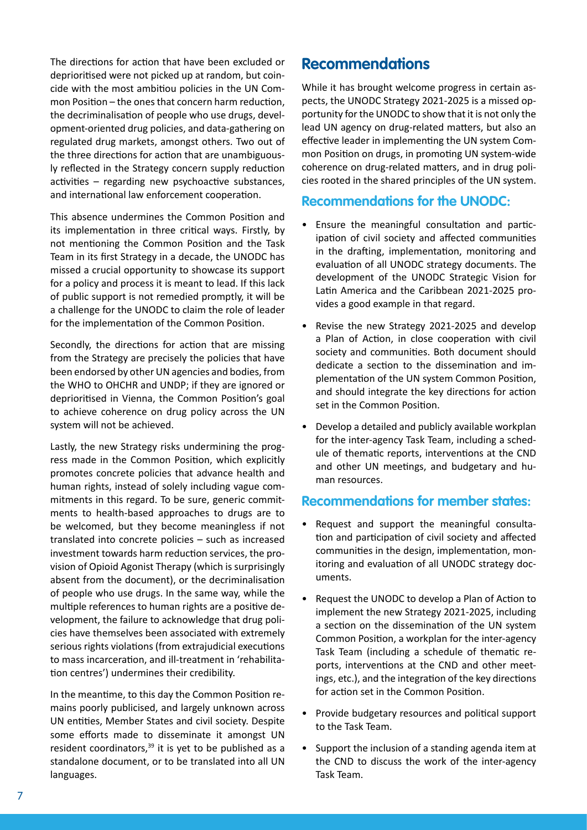The directions for action that have been excluded or deprioritised were not picked up at random, but coincide with the most ambitiou policies in the UN Common Position – the ones that concern harm reduction, the decriminalisation of people who use drugs, development-oriented drug policies, and data-gathering on regulated drug markets, amongst others. Two out of the three directions for action that are unambiguously reflected in the Strategy concern supply reduction activities – regarding new psychoactive substances, and international law enforcement cooperation.

This absence undermines the Common Position and its implementation in three critical ways. Firstly, by not mentioning the Common Position and the Task Team in its first Strategy in a decade, the UNODC has missed a crucial opportunity to showcase its support for a policy and process it is meant to lead. If this lack of public support is not remedied promptly, it will be a challenge for the UNODC to claim the role of leader for the implementation of the Common Position.

Secondly, the directions for action that are missing from the Strategy are precisely the policies that have been endorsed by other UN agencies and bodies, from the WHO to OHCHR and UNDP; if they are ignored or deprioritised in Vienna, the Common Position's goal to achieve coherence on drug policy across the UN system will not be achieved.

Lastly, the new Strategy risks undermining the progress made in the Common Position, which explicitly promotes concrete policies that advance health and human rights, instead of solely including vague commitments in this regard. To be sure, generic commitments to health-based approaches to drugs are to be welcomed, but they become meaningless if not translated into concrete policies – such as increased investment towards harm reduction services, the provision of Opioid Agonist Therapy (which is surprisingly absent from the document), or the decriminalisation of people who use drugs. In the same way, while the multiple references to human rights are a positive development, the failure to acknowledge that drug policies have themselves been associated with extremely serious rights violations (from extrajudicial executions to mass incarceration, and ill-treatment in 'rehabilitation centres') undermines their credibility.

In the meantime, to this day the Common Position remains poorly publicised, and largely unknown across UN entities, Member States and civil society. Despite some efforts made to disseminate it amongst UN resident coordinators, $39$  it is yet to be published as a standalone document, or to be translated into all UN languages.

## **Recommendations**

While it has brought welcome progress in certain aspects, the UNODC Strategy 2021-2025 is a missed opportunity for the UNODC to show that it is not only the lead UN agency on drug-related matters, but also an effective leader in implementing the UN system Common Position on drugs, in promoting UN system-wide coherence on drug-related matters, and in drug policies rooted in the shared principles of the UN system.

### **Recommendations for the UNODC:**

- Ensure the meaningful consultation and participation of civil society and affected communities in the drafting, implementation, monitoring and evaluation of all UNODC strategy documents. The development of the UNODC Strategic Vision for Latin America and the Caribbean 2021-2025 provides a good example in that regard.
- Revise the new Strategy 2021-2025 and develop a Plan of Action, in close cooperation with civil society and communities. Both document should dedicate a section to the dissemination and implementation of the UN system Common Position, and should integrate the key directions for action set in the Common Position.
- Develop a detailed and publicly available workplan for the inter-agency Task Team, including a schedule of thematic reports, interventions at the CND and other UN meetings, and budgetary and human resources.

#### **Recommendations for member states:**

- Request and support the meaningful consultation and participation of civil society and affected communities in the design, implementation, monitoring and evaluation of all UNODC strategy documents.
- Request the UNODC to develop a Plan of Action to implement the new Strategy 2021-2025, including a section on the dissemination of the UN system Common Position, a workplan for the inter-agency Task Team (including a schedule of thematic reports, interventions at the CND and other meetings, etc.), and the integration of the key directions for action set in the Common Position.
- Provide budgetary resources and political support to the Task Team.
- Support the inclusion of a standing agenda item at the CND to discuss the work of the inter-agency Task Team.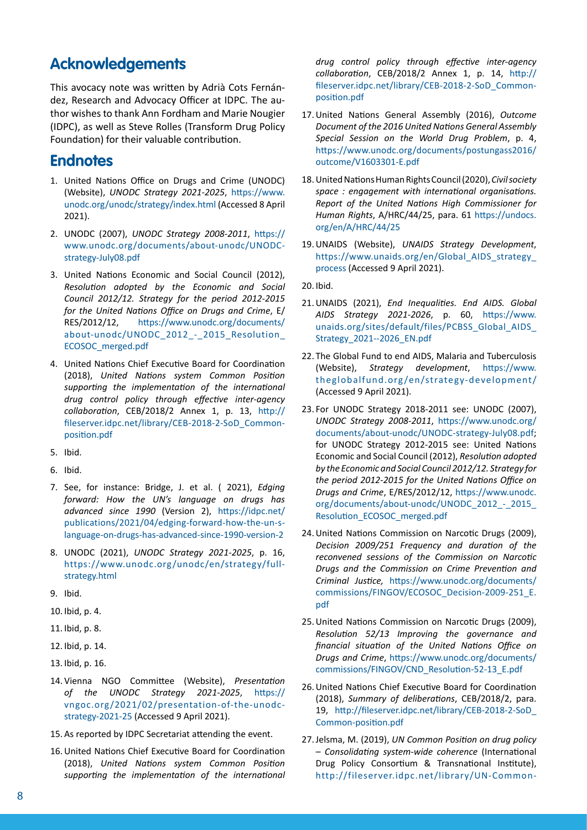## **Acknowledgements**

This avocacy note was written by Adrià Cots Fernández, Research and Advocacy Officer at IDPC. The author wishes to thank Ann Fordham and Marie Nougier (IDPC), as well as Steve Rolles (Transform Drug Policy Foundation) for their valuable contribution.

### **Endnotes**

- 1. United Nations Office on Drugs and Crime (UNODC) (Website), *UNODC Strategy 2021-2025*, [https://www.](https://www.unodc.org/unodc/strategy/index.html) [unodc.org/unodc/strategy/index.html](https://www.unodc.org/unodc/strategy/index.html) (Accessed 8 April 2021).
- 2. UNODC (2007), *UNODC Strategy 2008-2011*, [https://](https://www.unodc.org/documents/about-unodc/UNODC-strategy-July08.pdf ) [www.unodc.org/documents/about-unodc/UNODC](https://www.unodc.org/documents/about-unodc/UNODC-strategy-July08.pdf )[strategy-July08.pdf](https://www.unodc.org/documents/about-unodc/UNODC-strategy-July08.pdf )
- 3. United Nations Economic and Social Council (2012), *Resolution adopted by the Economic and Social Council 2012/12. Strategy for the period 2012-2015 for the United Nations Office on Drugs and Crime*, E/ RES/2012/12, [https://www.unodc.org/documents/](https://www.unodc.org/documents/about-unodc/UNODC_2012_-_2015_Resolution_ECOSOC_merged.pdf  ) [about-unodc/UNODC\\_2012\\_-\\_2015\\_Resolution\\_](https://www.unodc.org/documents/about-unodc/UNODC_2012_-_2015_Resolution_ECOSOC_merged.pdf  ) [ECOSOC\\_merged.pdf](https://www.unodc.org/documents/about-unodc/UNODC_2012_-_2015_Resolution_ECOSOC_merged.pdf  )
- 4. United Nations Chief Executive Board for Coordination (2018), *United Nations system Common Position supporting the implementation of the international drug control policy through effective inter-agency collaboration*, CEB/2018/2 Annex 1, p. 13, [http://](http://fileserver.idpc.net/library/CEB-2018-2-SoD_Common-position.pdf) [fileserver.idpc.net/library/CEB-2018-2-SoD\\_Common](http://fileserver.idpc.net/library/CEB-2018-2-SoD_Common-position.pdf)[position.pdf](http://fileserver.idpc.net/library/CEB-2018-2-SoD_Common-position.pdf)
- 5. Ibid.
- 6. Ibid.
- 7. See, for instance: Bridge, J. et al. ( 2021), *Edging forward: How the UN's language on drugs has advanced since 1990* (Version 2), [https://idpc.net/](https://idpc.net/publications/2021/04/edging-forward-how-the-un-s-language-on-drugs-has-advanced-since-1990-version-2  ) [publications/2021/04/edging-forward-how-the-un-s](https://idpc.net/publications/2021/04/edging-forward-how-the-un-s-language-on-drugs-has-advanced-since-1990-version-2  )[language-on-drugs-has-advanced-since-1990-version-2](https://idpc.net/publications/2021/04/edging-forward-how-the-un-s-language-on-drugs-has-advanced-since-1990-version-2  )
- 8. UNODC (2021), *UNODC Strategy 2021-2025*, p. 16, [https://www.unodc.org/unodc/en/strategy/full](https://www.unodc.org/unodc/en/strategy/full-strategy.html )[strategy.html](https://www.unodc.org/unodc/en/strategy/full-strategy.html )
- 9. Ibid.
- 10. Ibid, p. 4.
- 11. Ibid, p. 8.
- 12. Ibid, p. 14.
- 13. Ibid, p. 16.
- 14. Vienna NGO Committee (Website), *Presentation of the UNODC Strategy 2021-2025*, [https://](https://vngoc.org/2021/02/presentation-of-the-unodc-strategy-2021-25) [vngoc.org/2021/02/presentation-of-the-unodc](https://vngoc.org/2021/02/presentation-of-the-unodc-strategy-2021-25)[strategy-2021-25](https://vngoc.org/2021/02/presentation-of-the-unodc-strategy-2021-25) (Accessed 9 April 2021).
- 15. As reported by IDPC Secretariat attending the event.
- 16.United Nations Chief Executive Board for Coordination (2018), *United Nations system Common Position supporting the implementation of the international*

*drug control policy through effective inter-agency collaboration*, CEB/2018/2 Annex 1, p. 14, [http://](http://fileserver.idpc.net/library/CEB-2018-2-SoD_Common-position.pdf ) [fileserver.idpc.net/library/CEB-2018-2-SoD\\_Common](http://fileserver.idpc.net/library/CEB-2018-2-SoD_Common-position.pdf )[position.pdf](http://fileserver.idpc.net/library/CEB-2018-2-SoD_Common-position.pdf )

- 17.United Nations General Assembly (2016), *Outcome Document of the 2016 United Nations General Assembly Special Session on the World Drug Problem*, p. 4, [https://www.unodc.org/documents/postungass2016/](https://www.unodc.org/documents/postungass2016/outcome/V1603301-E.pdf ) [outcome/V1603301-E.pdf](https://www.unodc.org/documents/postungass2016/outcome/V1603301-E.pdf )
- 18.United Nations Human Rights Council (2020), *Civil society space : engagement with international organisations. Report of the United Nations High Commissioner for Human Rights*, A/HRC/44/25, para. 61 [https://undocs.](https://undocs.org/en/A/HRC/44/25 ) [org/en/A/HRC/44/25](https://undocs.org/en/A/HRC/44/25 )
- 19.UNAIDS (Website), *UNAIDS Strategy Development*, https://www.unaids.org/en/Global\_AIDS\_strategy [process](https://www.unaids.org/en/Global_AIDS_strategy_process ) (Accessed 9 April 2021).
- 20. Ibid.
- 21.UNAIDS (2021), *End Inequalities. End AIDS. Global AIDS Strategy 2021-2026*, p. 60, [https://www.](https://www.unaids.org/sites/default/files/PCBSS_Global_AIDS_Strategy_2021--2026_EN.pdf ) [unaids.org/sites/default/files/PCBSS\\_Global\\_AIDS\\_](https://www.unaids.org/sites/default/files/PCBSS_Global_AIDS_Strategy_2021--2026_EN.pdf ) [Strategy\\_2021--2026\\_EN.pdf](https://www.unaids.org/sites/default/files/PCBSS_Global_AIDS_Strategy_2021--2026_EN.pdf )
- 22. The Global Fund to end AIDS, Malaria and Tuberculosis (Website), *Strategy development*, [https://www.](https://www.theglobalfund.org/en/strategy-development/) [theglobalfund.org/en/strategy-development/](https://www.theglobalfund.org/en/strategy-development/) (Accessed 9 April 2021).
- 23. For UNODC Strategy 2018-2011 see: UNODC (2007), *UNODC Strategy 2008-2011*, [https://www.unodc.org/](https://www.unodc.org/documents/about-unodc/UNODC-strategy-July08.pdf) [documents/about-unodc/UNODC-strategy-July08.pdf;](https://www.unodc.org/documents/about-unodc/UNODC-strategy-July08.pdf) for UNODC Strategy 2012-2015 see: United Nations Economic and Social Council (2012), *Resolution adopted by the Economic and Social Council 2012/12. Strategy for the period 2012-2015 for the United Nations Office on Drugs and Crime*, E/RES/2012/12, [https://www.unodc.](https://www.unodc.org/documents/about-unodc/UNODC_2012_-_2015_Resolution_ECOSOC_merged.pdf) [org/documents/about-unodc/UNODC\\_2012\\_-\\_2015\\_](https://www.unodc.org/documents/about-unodc/UNODC_2012_-_2015_Resolution_ECOSOC_merged.pdf) [Resolution\\_ECOSOC\\_merged.pdf](https://www.unodc.org/documents/about-unodc/UNODC_2012_-_2015_Resolution_ECOSOC_merged.pdf)
- 24.United Nations Commission on Narcotic Drugs (2009), *Decision 2009/251 Frequency and duration of the reconvened sessions of the Commission on Narcotic Drugs and the Commission on Crime Prevention and Criminal Justice,* [https://www.unodc.org/documents/](https://www.unodc.org/documents/commissions/FINGOV/ECOSOC_Decision-2009-251_E.pdf  ) [commissions/FINGOV/ECOSOC\\_Decision-2009-251\\_E.](https://www.unodc.org/documents/commissions/FINGOV/ECOSOC_Decision-2009-251_E.pdf  ) [pdf](https://www.unodc.org/documents/commissions/FINGOV/ECOSOC_Decision-2009-251_E.pdf  )
- 25.United Nations Commission on Narcotic Drugs (2009), *Resolution 52/13 Improving the governance and financial situation of the United Nations Office on Drugs and Crime*, [https://www.unodc.org/documents/](https://www.unodc.org/documents/commissions/FINGOV/CND_Resolution-52-13_E.pdf ) [commissions/FINGOV/CND\\_Resolution-52-13\\_E.pdf](https://www.unodc.org/documents/commissions/FINGOV/CND_Resolution-52-13_E.pdf )
- 26.United Nations Chief Executive Board for Coordination (2018), *Summary of deliberations*, CEB/2018/2, para. 19, [http://fileserver.idpc.net/library/CEB-2018-2-SoD\\_](http://fileserver.idpc.net/library/CEB-2018-2-SoD_Common-position.pdf) [Common-position.pdf](http://fileserver.idpc.net/library/CEB-2018-2-SoD_Common-position.pdf)
- 27.Jelsma, M. (2019), *UN Common Position on drug policy – Consolidating system-wide coherence* (International Drug Policy Consortium & Transnational Institute), [http://fileserver.idpc.net/library/UN-Common-](http://fileserver.idpc.net/library/UN-Common-Position-Briefing-Paper.pdf)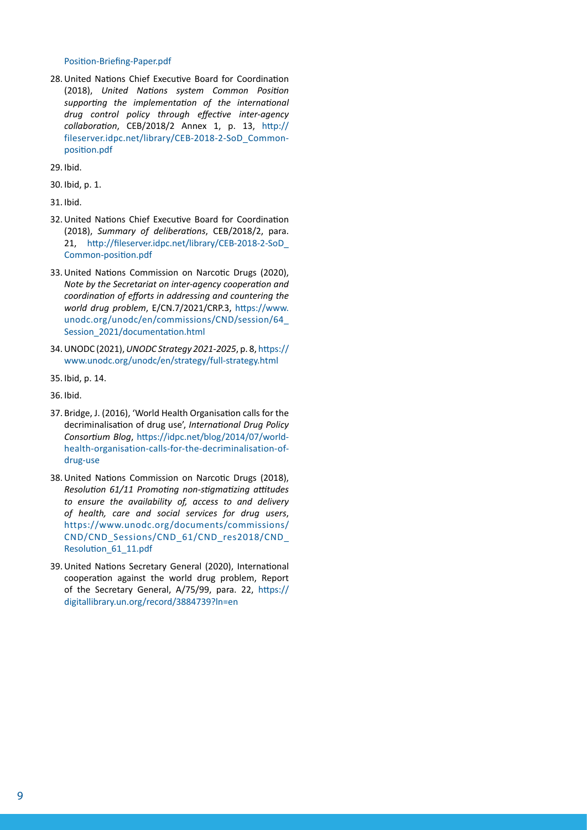#### [Position-Briefing-Paper.pdf](http://fileserver.idpc.net/library/UN-Common-Position-Briefing-Paper.pdf)

28.United Nations Chief Executive Board for Coordination (2018), *United Nations system Common Position supporting the implementation of the international drug control policy through effective inter-agency collaboration*, CEB/2018/2 Annex 1, p. 13, [http://](http://fileserver.idpc.net/library/CEB-2018-2-SoD_Common-position.pdf) [fileserver.idpc.net/library/CEB-2018-2-SoD\\_Common](http://fileserver.idpc.net/library/CEB-2018-2-SoD_Common-position.pdf)[position.pdf](http://fileserver.idpc.net/library/CEB-2018-2-SoD_Common-position.pdf)

29. Ibid.

30. Ibid, p. 1.

31. Ibid.

- 32.United Nations Chief Executive Board for Coordination (2018), *Summary of deliberations*, CEB/2018/2, para. 21, [http://fileserver.idpc.net/library/CEB-2018-2-SoD\\_](http://fileserver.idpc.net/library/CEB-2018-2-SoD_Common-position.pdf) [Common-position.pdf](http://fileserver.idpc.net/library/CEB-2018-2-SoD_Common-position.pdf)
- 33.United Nations Commission on Narcotic Drugs (2020), *Note by the Secretariat on inter-agency cooperation and coordination of efforts in addressing and countering the world drug problem*, E/CN.7/2021/CRP.3, [https://www.](https://www.unodc.org/unodc/en/commissions/CND/session/64_Session_2021/documentation.html ) [unodc.org/unodc/en/commissions/CND/session/64\\_](https://www.unodc.org/unodc/en/commissions/CND/session/64_Session_2021/documentation.html ) [Session\\_2021/documentation.html](https://www.unodc.org/unodc/en/commissions/CND/session/64_Session_2021/documentation.html )
- 34.UNODC (2021), *UNODC Strategy 2021-2025*, p. 8, [https://](https://www.unodc.org/unodc/en/strategy/full-strategy.html ) [www.unodc.org/unodc/en/strategy/full-strategy.html](https://www.unodc.org/unodc/en/strategy/full-strategy.html )
- 35. Ibid, p. 14.
- 36. Ibid.
- 37. Bridge, J. (2016), 'World Health Organisation calls for the decriminalisation of drug use', *International Drug Policy Consortium Blog*, [https://idpc.net/blog/2014/07/world](https://idpc.net/blog/2014/07/world-health-organisation-calls-for-the-decriminalisation-of-drug-use  )[health-organisation-calls-for-the-decriminalisation-of](https://idpc.net/blog/2014/07/world-health-organisation-calls-for-the-decriminalisation-of-drug-use  )[drug-use](https://idpc.net/blog/2014/07/world-health-organisation-calls-for-the-decriminalisation-of-drug-use  )
- 38.United Nations Commission on Narcotic Drugs (2018), *Resolution 61/11 Promoting non-stigmatizing attitudes to ensure the availability of, access to and delivery of health, care and social services for drug users*, [https://www.unodc.org/documents/commissions/](https://www.unodc.org/documents/commissions/CND/CND_Sessions/CND_61/CND_res2018/CND_Resolution_61_11.pdf  ) [CND/CND\\_Sessions/CND\\_61/CND\\_res2018/CND\\_](https://www.unodc.org/documents/commissions/CND/CND_Sessions/CND_61/CND_res2018/CND_Resolution_61_11.pdf  ) [Resolution\\_61\\_11.pdf](https://www.unodc.org/documents/commissions/CND/CND_Sessions/CND_61/CND_res2018/CND_Resolution_61_11.pdf  )
- 39.United Nations Secretary General (2020), International cooperation against the world drug problem, Report of the Secretary General, A/75/99, para. 22, [https://](https://digitallibrary.un.org/record/3884739?ln=en ) [digitallibrary.un.org/record/3884739?ln=en](https://digitallibrary.un.org/record/3884739?ln=en )